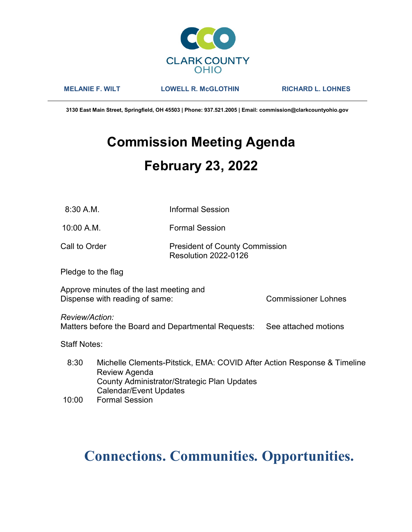

MELANIE F. WILT LOWELL R. McGLOTHIN RICHARD L. LOHNES

3130 East Main Street, Springfield, OH 45503 | Phone: 937.521.2005 | Email: commission@clarkcountyohio.gov

# Commission Meeting Agenda February 23, 2022

8:30 A.M. Informal Session

10:00 A.M. Formal Session

Call to Order **President of County Commission** Resolution 2022-0126

Pledge to the flag

Approve minutes of the last meeting and Dispense with reading of same: Commissioner Lohnes

Review/Action:

Matters before the Board and Departmental Requests: See attached motions

Staff Notes:

 8:30 Michelle Clements-Pitstick, EMA: COVID After Action Response & Timeline Review Agenda County Administrator/Strategic Plan Updates Calendar/Event Updates

10:00 Formal Session

# Connections. Communities. Opportunities.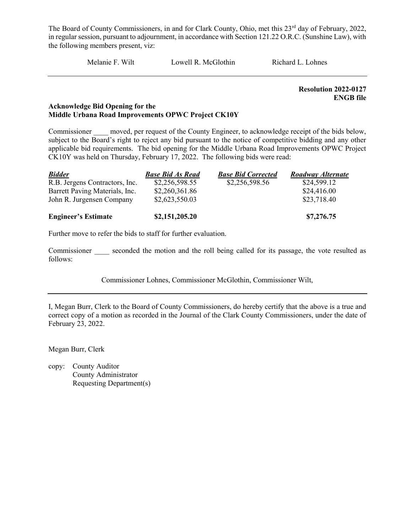Melanie F. Wilt Lowell R. McGlothin Richard L. Lohnes

Resolution 2022-0127 ENGB file

# Acknowledge Bid Opening for the Middle Urbana Road Improvements OPWC Project CK10Y

Commissioner moved, per request of the County Engineer, to acknowledge receipt of the bids below, subject to the Board's right to reject any bid pursuant to the notice of competitive bidding and any other applicable bid requirements. The bid opening for the Middle Urbana Road Improvements OPWC Project CK10Y was held on Thursday, February 17, 2022. The following bids were read:

| <b>Bidder</b>                  | <b>Base Bid As Read</b> | <b>Base Bid Corrected</b> | Roadway Alternate |
|--------------------------------|-------------------------|---------------------------|-------------------|
| R.B. Jergens Contractors, Inc. | \$2,256,598.55          | \$2,256,598.56            | \$24,599.12       |
| Barrett Paving Materials, Inc. | \$2,260,361.86          |                           | \$24,416.00       |
| John R. Jurgensen Company      | \$2,623,550.03          |                           | \$23,718.40       |
| <b>Engineer's Estimate</b>     | \$2,151,205.20          |                           | \$7,276.75        |

Further move to refer the bids to staff for further evaluation.

Commissioner seconded the motion and the roll being called for its passage, the vote resulted as follows:

Commissioner Lohnes, Commissioner McGlothin, Commissioner Wilt,

I, Megan Burr, Clerk to the Board of County Commissioners, do hereby certify that the above is a true and correct copy of a motion as recorded in the Journal of the Clark County Commissioners, under the date of February 23, 2022.

Megan Burr, Clerk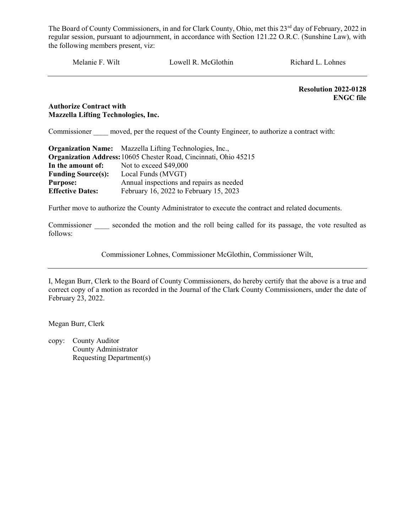Melanie F. Wilt Lowell R. McGlothin Richard L. Lohnes

Resolution 2022-0128 ENGC file

# Authorize Contract with Mazzella Lifting Technologies, Inc.

Commissioner moved, per the request of the County Engineer, to authorize a contract with:

|                           | <b>Organization Name:</b> Mazzella Lifting Technologies, Inc.,   |  |  |
|---------------------------|------------------------------------------------------------------|--|--|
|                           | Organization Address: 10605 Chester Road, Cincinnati, Ohio 45215 |  |  |
| In the amount of:         | Not to exceed \$49,000                                           |  |  |
| <b>Funding Source(s):</b> | Local Funds (MVGT)                                               |  |  |
| <b>Purpose:</b>           | Annual inspections and repairs as needed                         |  |  |
| <b>Effective Dates:</b>   | February 16, 2022 to February 15, 2023                           |  |  |

Further move to authorize the County Administrator to execute the contract and related documents.

Commissioner seconded the motion and the roll being called for its passage, the vote resulted as follows:

Commissioner Lohnes, Commissioner McGlothin, Commissioner Wilt,

I, Megan Burr, Clerk to the Board of County Commissioners, do hereby certify that the above is a true and correct copy of a motion as recorded in the Journal of the Clark County Commissioners, under the date of February 23, 2022.

Megan Burr, Clerk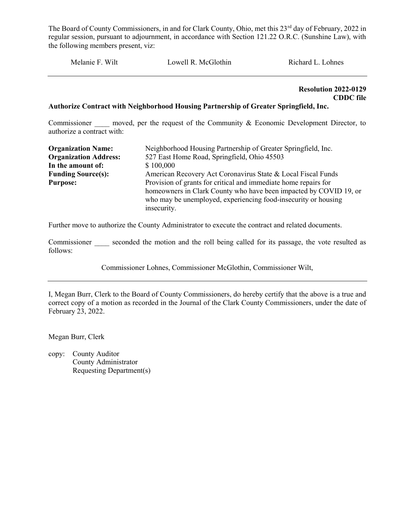Melanie F. Wilt Lowell R. McGlothin Richard L. Lohnes

Resolution 2022-0129 CDDC file

#### Authorize Contract with Neighborhood Housing Partnership of Greater Springfield, Inc.

Commissioner and moved, per the request of the Community  $\&$  Economic Development Director, to authorize a contract with:

| <b>Organization Name:</b>    | Neighborhood Housing Partnership of Greater Springfield, Inc.                 |  |  |  |  |
|------------------------------|-------------------------------------------------------------------------------|--|--|--|--|
| <b>Organization Address:</b> | 527 East Home Road, Springfield, Ohio 45503                                   |  |  |  |  |
| In the amount of:            | \$100,000                                                                     |  |  |  |  |
| <b>Funding Source(s):</b>    | American Recovery Act Coronavirus State & Local Fiscal Funds                  |  |  |  |  |
| <b>Purpose:</b>              | Provision of grants for critical and immediate home repairs for               |  |  |  |  |
|                              | homeowners in Clark County who have been impacted by COVID 19, or             |  |  |  |  |
|                              | who may be unemployed, experiencing food-insecurity or housing<br>insecurity. |  |  |  |  |
|                              |                                                                               |  |  |  |  |

Further move to authorize the County Administrator to execute the contract and related documents.

Commissioner seconded the motion and the roll being called for its passage, the vote resulted as follows:

Commissioner Lohnes, Commissioner McGlothin, Commissioner Wilt,

I, Megan Burr, Clerk to the Board of County Commissioners, do hereby certify that the above is a true and correct copy of a motion as recorded in the Journal of the Clark County Commissioners, under the date of February 23, 2022.

Megan Burr, Clerk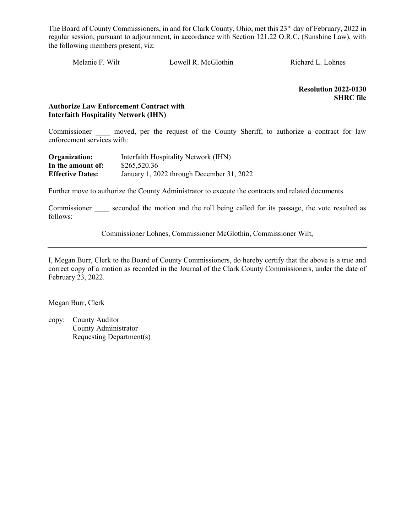Melanie F. Wilt Lowell R. McGlothin Richard L. Lohnes

 Resolution 2022-0130 SHRC file

# Authorize Law Enforcement Contract with Interfaith Hospitality Network (IHN)

Commissioner moved, per the request of the County Sheriff, to authorize a contract for law enforcement services with:

| Organization:           | Interfaith Hospitality Network (IHN)      |
|-------------------------|-------------------------------------------|
| In the amount of:       | \$265,520.36                              |
| <b>Effective Dates:</b> | January 1, 2022 through December 31, 2022 |

Further move to authorize the County Administrator to execute the contracts and related documents.

Commissioner seconded the motion and the roll being called for its passage, the vote resulted as follows:

Commissioner Lohnes, Commissioner McGlothin, Commissioner Wilt,

I, Megan Burr, Clerk to the Board of County Commissioners, do hereby certify that the above is a true and correct copy of a motion as recorded in the Journal of the Clark County Commissioners, under the date of February 23, 2022.

Megan Burr, Clerk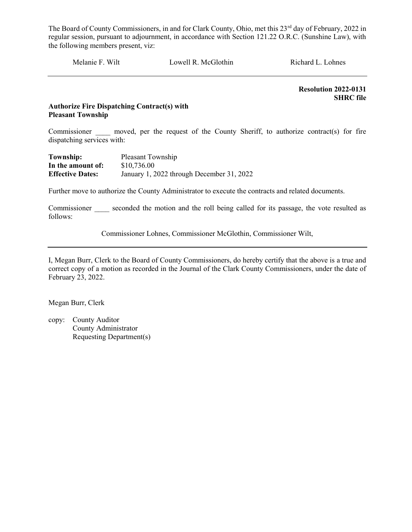Melanie F. Wilt Lowell R. McGlothin Richard L. Lohnes

 Resolution 2022-0131 SHRC file

# Authorize Fire Dispatching Contract(s) with Pleasant Township

Commissioner moved, per the request of the County Sheriff, to authorize contract(s) for fire dispatching services with:

| Township:               | Pleasant Township                         |
|-------------------------|-------------------------------------------|
| In the amount of:       | \$10,736.00                               |
| <b>Effective Dates:</b> | January 1, 2022 through December 31, 2022 |

Further move to authorize the County Administrator to execute the contracts and related documents.

Commissioner seconded the motion and the roll being called for its passage, the vote resulted as follows:

Commissioner Lohnes, Commissioner McGlothin, Commissioner Wilt,

I, Megan Burr, Clerk to the Board of County Commissioners, do hereby certify that the above is a true and correct copy of a motion as recorded in the Journal of the Clark County Commissioners, under the date of February 23, 2022.

Megan Burr, Clerk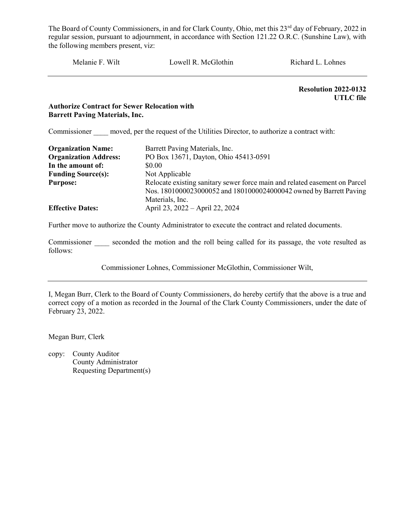Melanie F. Wilt Lowell R. McGlothin Richard L. Lohnes

Resolution 2022-0132 UTLC file

# Authorize Contract for Sewer Relocation with Barrett Paving Materials, Inc.

Commissioner moved, per the request of the Utilities Director, to authorize a contract with:

| <b>Organization Name:</b>    | Barrett Paving Materials, Inc.                                             |
|------------------------------|----------------------------------------------------------------------------|
| <b>Organization Address:</b> | PO Box 13671, Dayton, Ohio 45413-0591                                      |
| In the amount of:            | \$0.00                                                                     |
| <b>Funding Source(s):</b>    | Not Applicable                                                             |
| <b>Purpose:</b>              | Relocate existing sanitary sewer force main and related easement on Parcel |
|                              | Nos. 1801000023000052 and 1801000024000042 owned by Barrett Paving         |
|                              | Materials, Inc.                                                            |
| <b>Effective Dates:</b>      | April 23, 2022 – April 22, 2024                                            |

Further move to authorize the County Administrator to execute the contract and related documents.

Commissioner seconded the motion and the roll being called for its passage, the vote resulted as follows:

Commissioner Lohnes, Commissioner McGlothin, Commissioner Wilt,

I, Megan Burr, Clerk to the Board of County Commissioners, do hereby certify that the above is a true and correct copy of a motion as recorded in the Journal of the Clark County Commissioners, under the date of February 23, 2022.

Megan Burr, Clerk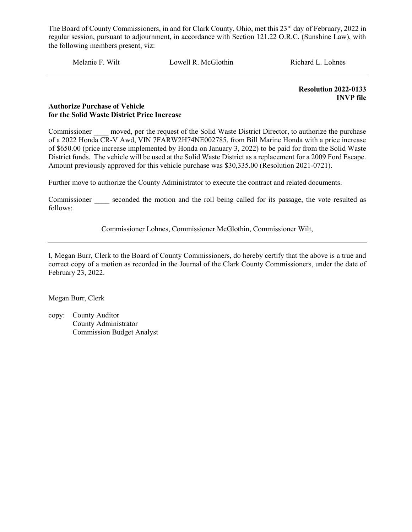Melanie F. Wilt Lowell R. McGlothin Richard L. Lohnes

 Resolution 2022-0133 INVP file

#### Authorize Purchase of Vehicle for the Solid Waste District Price Increase

Commissioner moved, per the request of the Solid Waste District Director, to authorize the purchase of a 2022 Honda CR-V Awd, VIN 7FARW2H74NE002785, from Bill Marine Honda with a price increase of \$650.00 (price increase implemented by Honda on January 3, 2022) to be paid for from the Solid Waste District funds. The vehicle will be used at the Solid Waste District as a replacement for a 2009 Ford Escape. Amount previously approved for this vehicle purchase was \$30,335.00 (Resolution 2021-0721).

Further move to authorize the County Administrator to execute the contract and related documents.

Commissioner seconded the motion and the roll being called for its passage, the vote resulted as follows:

Commissioner Lohnes, Commissioner McGlothin, Commissioner Wilt,

I, Megan Burr, Clerk to the Board of County Commissioners, do hereby certify that the above is a true and correct copy of a motion as recorded in the Journal of the Clark County Commissioners, under the date of February 23, 2022.

Megan Burr, Clerk

copy: County Auditor County Administrator Commission Budget Analyst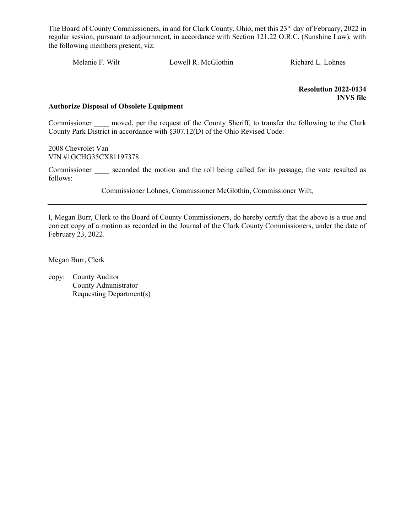Melanie F. Wilt Lowell R. McGlothin Richard L. Lohnes

 Resolution 2022-0134 INVS file

#### Authorize Disposal of Obsolete Equipment

Commissioner moved, per the request of the County Sheriff, to transfer the following to the Clark County Park District in accordance with §307.12(D) of the Ohio Revised Code:

2008 Chevrolet Van VIN #1GCHG35CX81197378

Commissioner seconded the motion and the roll being called for its passage, the vote resulted as follows:

Commissioner Lohnes, Commissioner McGlothin, Commissioner Wilt,

I, Megan Burr, Clerk to the Board of County Commissioners, do hereby certify that the above is a true and correct copy of a motion as recorded in the Journal of the Clark County Commissioners, under the date of February 23, 2022.

Megan Burr, Clerk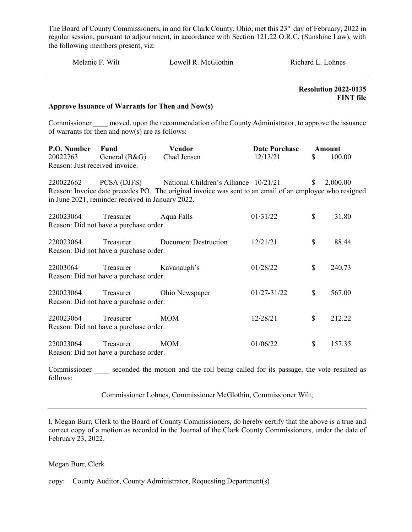| Melanie F. Wilt                                           |                                                                 | Lowell R. McGlothin                                                                                                                              |                                  | Richard L. Lohnes |                                                 |
|-----------------------------------------------------------|-----------------------------------------------------------------|--------------------------------------------------------------------------------------------------------------------------------------------------|----------------------------------|-------------------|-------------------------------------------------|
|                                                           | Approve Issuance of Warrants for Then and Now(s)                |                                                                                                                                                  |                                  |                   | <b>Resolution 2022-0135</b><br><b>FINT</b> file |
|                                                           | of warrants for then and $now(s)$ are as follows:               | Commissioner _____ moved, upon the recommendation of the County Administrator, to approve the issuance                                           |                                  |                   |                                                 |
| P.O. Number<br>20022763<br>Reason: Just received invoice. | Fund<br>General (B&G)                                           | <b>Vendor</b><br>Chad Jensen                                                                                                                     | <b>Date Purchase</b><br>12/13/21 | S                 | Amount<br>100.00                                |
| 220022662                                                 | PCSA (DJFS)<br>in June 2021, reminder received in January 2022. | National Children's Alliance 10/21/21<br>Reason: Invoice date precedes PO. The original invoice was sent to an email of an employee who resigned |                                  | S.                | 2,000.00                                        |
| 220023064                                                 | Treasurer<br>Reason: Did not have a purchase order.             | Aqua Falls                                                                                                                                       | 01/31/22                         | \$                | 31.80                                           |
| 220023064                                                 | Treasurer<br>Reason: Did not have a purchase order.             | <b>Document Destruction</b>                                                                                                                      | 12/21/21                         | $\mathbb{S}$      | 88.44                                           |
| 22003064                                                  | Treasurer<br>Reason: Did not have a purchase order.             | Kavanaugh's                                                                                                                                      | 01/28/22                         | \$                | 240.73                                          |
| 220023064                                                 | Treasurer<br>Reason: Did not have a purchase order.             | Ohio Newspaper                                                                                                                                   | 01/27-31/22                      | \$                | 567.00                                          |
| 220023064                                                 | Treasurer<br>Reason: Did not have a purchase order.             | <b>MOM</b>                                                                                                                                       | 12/28/21                         | \$                | 212.22                                          |
| 220023064                                                 | Treasurer<br>Reason: Did not have a purchase order.             | <b>MOM</b>                                                                                                                                       | 01/06/22                         | \$                | 157.35                                          |

Commissioner seconded the motion and the roll being called for its passage, the vote resulted as follows:

Commissioner Lohnes, Commissioner McGlothin, Commissioner Wilt,

I, Megan Burr, Clerk to the Board of County Commissioners, do hereby certify that the above is a true and correct copy of a motion as recorded in the Journal of the Clark County Commissioners, under the date of February 23, 2022.

# Megan Burr, Clerk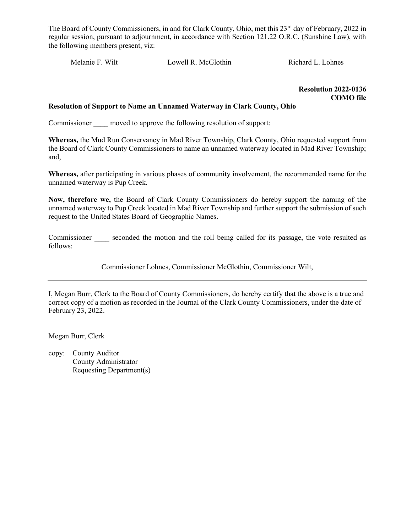Melanie F. Wilt Lowell R. McGlothin Richard L. Lohnes

 Resolution 2022-0136 COMO file

#### Resolution of Support to Name an Unnamed Waterway in Clark County, Ohio

Commissioner moved to approve the following resolution of support:

Whereas, the Mud Run Conservancy in Mad River Township, Clark County, Ohio requested support from the Board of Clark County Commissioners to name an unnamed waterway located in Mad River Township; and,

Whereas, after participating in various phases of community involvement, the recommended name for the unnamed waterway is Pup Creek.

Now, therefore we, the Board of Clark County Commissioners do hereby support the naming of the unnamed waterway to Pup Creek located in Mad River Township and further support the submission of such request to the United States Board of Geographic Names.

Commissioner seconded the motion and the roll being called for its passage, the vote resulted as follows:

Commissioner Lohnes, Commissioner McGlothin, Commissioner Wilt,

I, Megan Burr, Clerk to the Board of County Commissioners, do hereby certify that the above is a true and correct copy of a motion as recorded in the Journal of the Clark County Commissioners, under the date of February 23, 2022.

Megan Burr, Clerk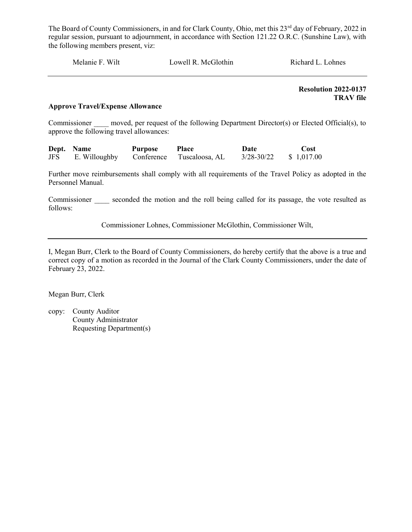| Melanie F. Wilt | Lowell R. McGlothin | Richard L. Lohnes |
|-----------------|---------------------|-------------------|
|                 |                     |                   |

 Resolution 2022-0137 TRAV file

# Approve Travel/Expense Allowance

Commissioner moved, per request of the following Department Director(s) or Elected Official(s), to approve the following travel allowances:

|            | Dept. Name    | <b>Purpose</b> | <b>Place</b>   | Date           | Cost       |
|------------|---------------|----------------|----------------|----------------|------------|
| <b>JFS</b> | E. Willoughby | Conference     | Tuscaloosa, AL | $3/28 - 30/22$ | \$1,017.00 |

Further move reimbursements shall comply with all requirements of the Travel Policy as adopted in the Personnel Manual.

Commissioner seconded the motion and the roll being called for its passage, the vote resulted as follows:

Commissioner Lohnes, Commissioner McGlothin, Commissioner Wilt,

I, Megan Burr, Clerk to the Board of County Commissioners, do hereby certify that the above is a true and correct copy of a motion as recorded in the Journal of the Clark County Commissioners, under the date of February 23, 2022.

Megan Burr, Clerk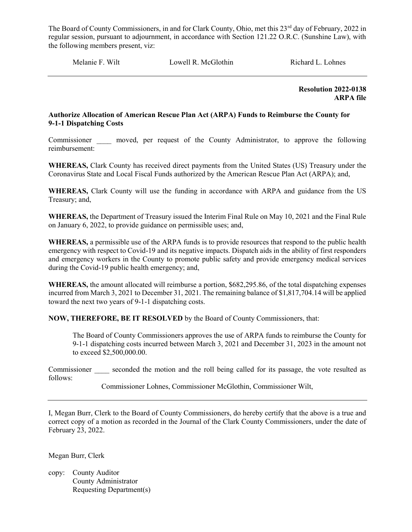Melanie F. Wilt Cowell R. McGlothin Richard L. Lohnes

 Resolution 2022-0138 ARPA file

# Authorize Allocation of American Rescue Plan Act (ARPA) Funds to Reimburse the County for 9-1-1 Dispatching Costs

Commissioner \_\_\_\_ moved, per request of the County Administrator, to approve the following reimbursement:

WHEREAS, Clark County has received direct payments from the United States (US) Treasury under the Coronavirus State and Local Fiscal Funds authorized by the American Rescue Plan Act (ARPA); and,

WHEREAS, Clark County will use the funding in accordance with ARPA and guidance from the US Treasury; and,

WHEREAS, the Department of Treasury issued the Interim Final Rule on May 10, 2021 and the Final Rule on January 6, 2022, to provide guidance on permissible uses; and,

WHEREAS, a permissible use of the ARPA funds is to provide resources that respond to the public health emergency with respect to Covid-19 and its negative impacts. Dispatch aids in the ability of first responders and emergency workers in the County to promote public safety and provide emergency medical services during the Covid-19 public health emergency; and,

WHEREAS, the amount allocated will reimburse a portion, \$682,295.86, of the total dispatching expenses incurred from March 3, 2021 to December 31, 2021. The remaining balance of \$1,817,704.14 will be applied toward the next two years of 9-1-1 dispatching costs.

NOW, THEREFORE, BE IT RESOLVED by the Board of County Commissioners, that:

The Board of County Commissioners approves the use of ARPA funds to reimburse the County for 9-1-1 dispatching costs incurred between March 3, 2021 and December 31, 2023 in the amount not to exceed \$2,500,000.00.

Commissioner seconded the motion and the roll being called for its passage, the vote resulted as follows:

Commissioner Lohnes, Commissioner McGlothin, Commissioner Wilt,

I, Megan Burr, Clerk to the Board of County Commissioners, do hereby certify that the above is a true and correct copy of a motion as recorded in the Journal of the Clark County Commissioners, under the date of February 23, 2022.

Megan Burr, Clerk